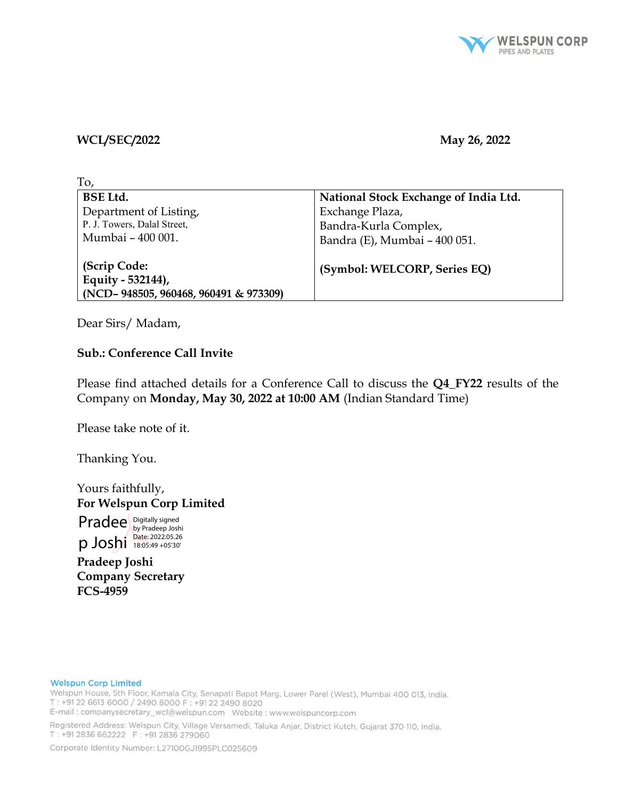

#### WCL/SEC/2022 May 26, 2022

| To,                                   |                                       |
|---------------------------------------|---------------------------------------|
| <b>BSE Ltd.</b>                       | National Stock Exchange of India Ltd. |
| Department of Listing,                | Exchange Plaza,                       |
| P. J. Towers, Dalal Street,           | Bandra-Kurla Complex,                 |
| Mumbai - 400 001.                     | Bandra (E), Mumbai - 400 051.         |
| (Scrip Code:<br>Equity - 532144),     | (Symbol: WELCORP, Series EQ)          |
| (NCD-948505, 960468, 960491 & 973309) |                                       |

Dear Sirs/ Madam,

### Sub.: Conference Call Invite

Please find attached details for a Conference Call to discuss the Q4\_FY22 results of the Company on Monday, May 30, 2022 at 10:00 AM (Indian Standard Time)

Please take note of it.

Thanking You.

Yours faithfully, For Welspun Corp Limited

Pradee p Joshi Digitally signed by Pradeep Joshi Date: 2022.05.26 18:05:49 +05'30'

Pradeep Joshi Company Secretary FCS-4959

#### **Welspun Corp Limited**

Welspun House, 5th Floor, Kamala City, Senapati Bapat Marg, Lower Parel (West), Mumbai 400 013, India. T: +91 22 6613 6000 / 2490 8000 F: +91 22 2490 8020 E-mail: companysecretary\_wcl@welspun.com Website: www.welspuncorp.com

Registered Address: Welspun City, Village Versamedi, Taluka Anjar, District Kutch, Gujarat 370 110, India.

T: +91 2836 662222 F: +91 2836 279060

Corporate Identity Number: L27100GJ1995PLC025609